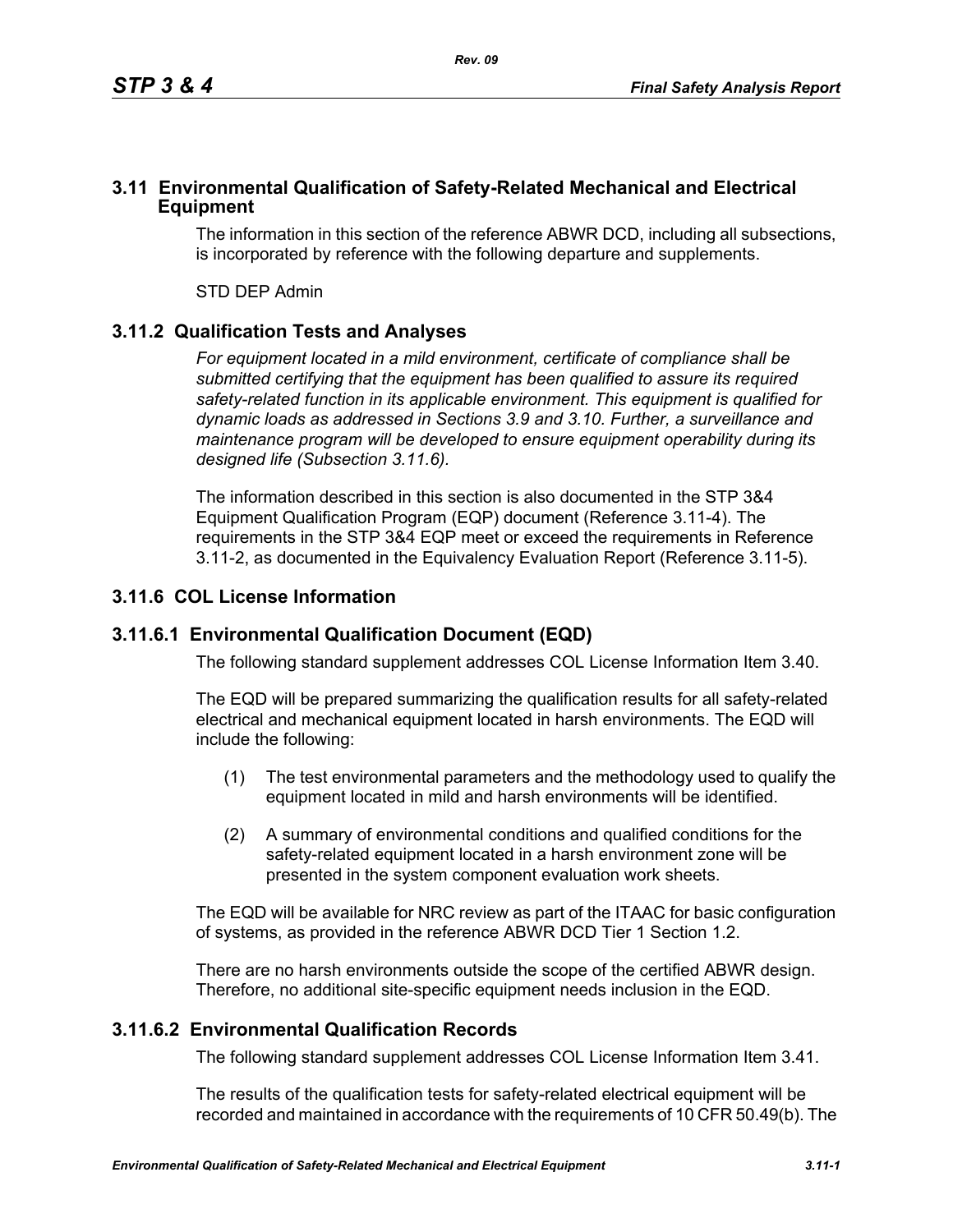### **3.11 Environmental Qualification of Safety-Related Mechanical and Electrical Equipment**

The information in this section of the reference ABWR DCD, including all subsections, is incorporated by reference with the following departure and supplements.

STD DEP Admin

## **3.11.2 Qualification Tests and Analyses**

*For equipment located in a mild environment, certificate of compliance shall be submitted certifying that the equipment has been qualified to assure its required safety-related function in its applicable environment. This equipment is qualified for dynamic loads as addressed in Sections 3.9 and 3.10. Further, a surveillance and maintenance program will be developed to ensure equipment operability during its designed life (Subsection 3.11.6).*

The information described in this section is also documented in the STP 3&4 Equipment Qualification Program (EQP) document (Reference 3.11-4). The requirements in the STP 3&4 EQP meet or exceed the requirements in Reference 3.11-2, as documented in the Equivalency Evaluation Report (Reference 3.11-5).

## **3.11.6 COL License Information**

### **3.11.6.1 Environmental Qualification Document (EQD)**

The following standard supplement addresses COL License Information Item 3.40.

The EQD will be prepared summarizing the qualification results for all safety-related electrical and mechanical equipment located in harsh environments. The EQD will include the following:

- (1) The test environmental parameters and the methodology used to qualify the equipment located in mild and harsh environments will be identified.
- (2) A summary of environmental conditions and qualified conditions for the safety-related equipment located in a harsh environment zone will be presented in the system component evaluation work sheets.

The EQD will be available for NRC review as part of the ITAAC for basic configuration of systems, as provided in the reference ABWR DCD Tier 1 Section 1.2.

There are no harsh environments outside the scope of the certified ABWR design. Therefore, no additional site-specific equipment needs inclusion in the EQD.

### **3.11.6.2 Environmental Qualification Records**

The following standard supplement addresses COL License Information Item 3.41.

The results of the qualification tests for safety-related electrical equipment will be recorded and maintained in accordance with the requirements of 10 CFR 50.49(b). The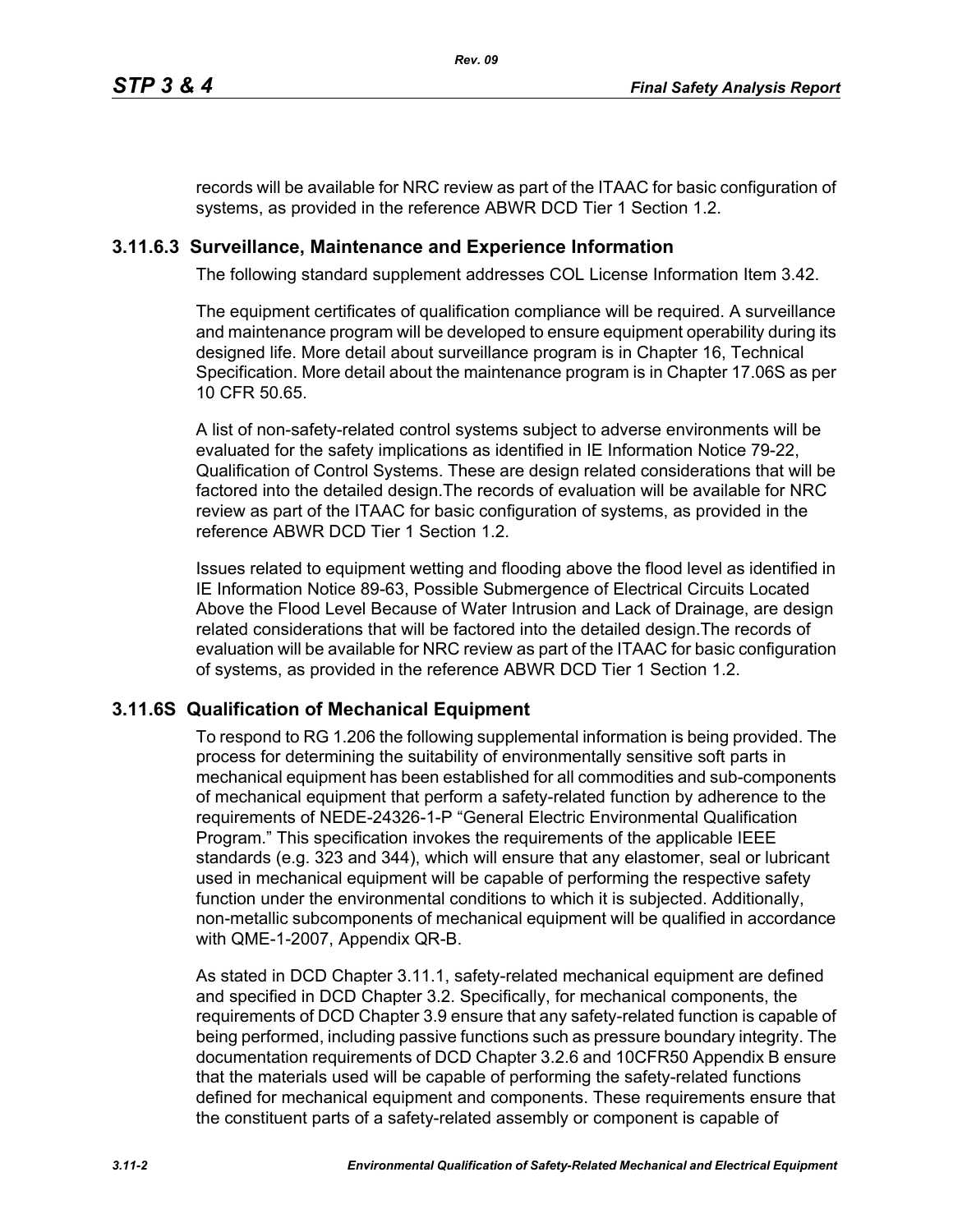records will be available for NRC review as part of the ITAAC for basic configuration of systems, as provided in the reference ABWR DCD Tier 1 Section 1.2.

## **3.11.6.3 Surveillance, Maintenance and Experience Information**

The following standard supplement addresses COL License Information Item 3.42.

The equipment certificates of qualification compliance will be required. A surveillance and maintenance program will be developed to ensure equipment operability during its designed life. More detail about surveillance program is in Chapter 16, Technical Specification. More detail about the maintenance program is in Chapter 17.06S as per 10 CFR 50.65.

A list of non-safety-related control systems subject to adverse environments will be evaluated for the safety implications as identified in IE Information Notice 79-22, Qualification of Control Systems. These are design related considerations that will be factored into the detailed design.The records of evaluation will be available for NRC review as part of the ITAAC for basic configuration of systems, as provided in the reference ABWR DCD Tier 1 Section 1.2.

Issues related to equipment wetting and flooding above the flood level as identified in IE Information Notice 89-63, Possible Submergence of Electrical Circuits Located Above the Flood Level Because of Water Intrusion and Lack of Drainage, are design related considerations that will be factored into the detailed design.The records of evaluation will be available for NRC review as part of the ITAAC for basic configuration of systems, as provided in the reference ABWR DCD Tier 1 Section 1.2.

# **3.11.6S Qualification of Mechanical Equipment**

To respond to RG 1.206 the following supplemental information is being provided. The process for determining the suitability of environmentally sensitive soft parts in mechanical equipment has been established for all commodities and sub-components of mechanical equipment that perform a safety-related function by adherence to the requirements of NEDE-24326-1-P "General Electric Environmental Qualification Program." This specification invokes the requirements of the applicable IEEE standards (e.g. 323 and 344), which will ensure that any elastomer, seal or lubricant used in mechanical equipment will be capable of performing the respective safety function under the environmental conditions to which it is subjected. Additionally, non-metallic subcomponents of mechanical equipment will be qualified in accordance with QME-1-2007, Appendix QR-B.

As stated in DCD Chapter 3.11.1, safety-related mechanical equipment are defined and specified in DCD Chapter 3.2. Specifically, for mechanical components, the requirements of DCD Chapter 3.9 ensure that any safety-related function is capable of being performed, including passive functions such as pressure boundary integrity. The documentation requirements of DCD Chapter 3.2.6 and 10CFR50 Appendix B ensure that the materials used will be capable of performing the safety-related functions defined for mechanical equipment and components. These requirements ensure that the constituent parts of a safety-related assembly or component is capable of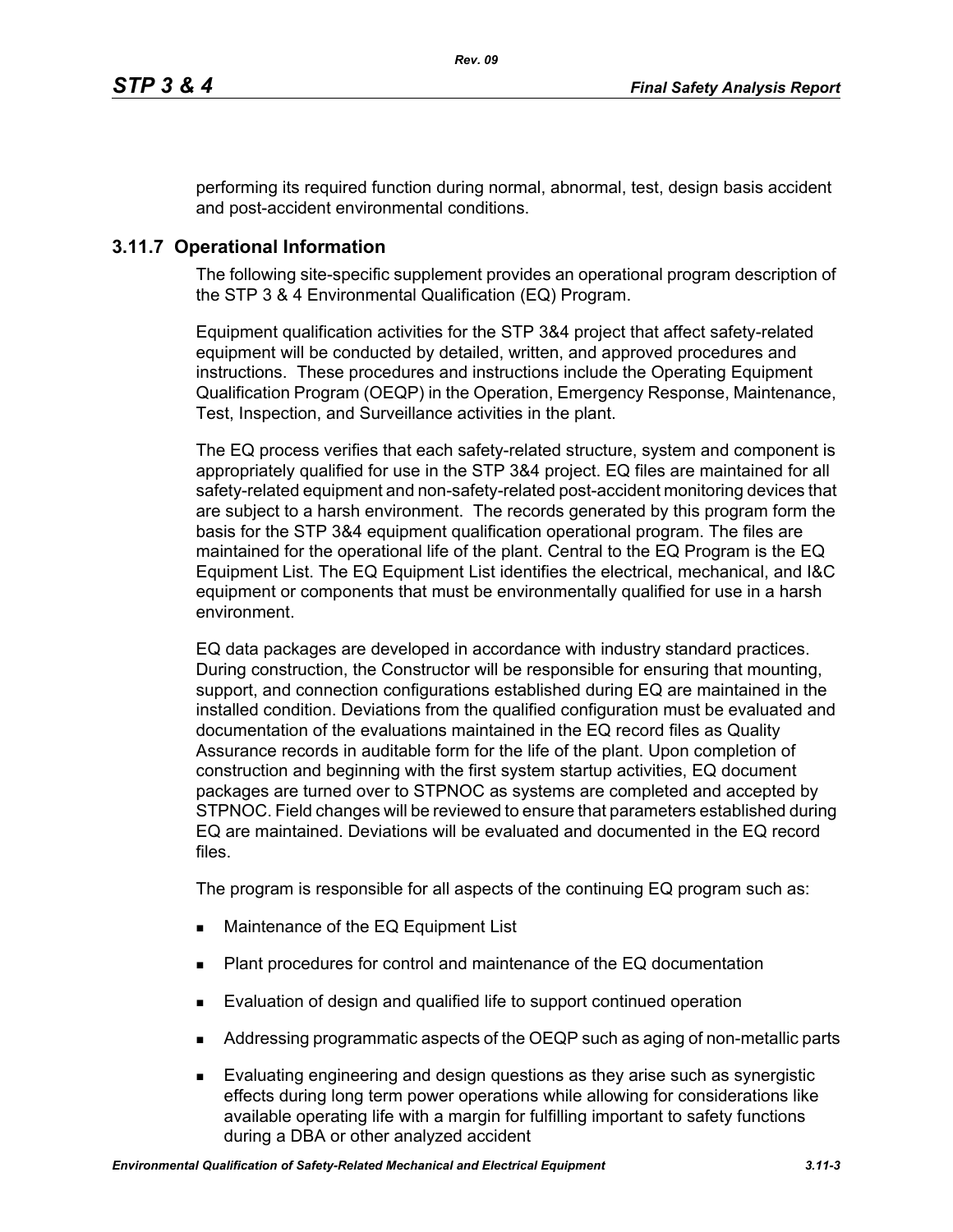performing its required function during normal, abnormal, test, design basis accident and post-accident environmental conditions.

## **3.11.7 Operational Information**

The following site-specific supplement provides an operational program description of the STP 3 & 4 Environmental Qualification (EQ) Program.

Equipment qualification activities for the STP 3&4 project that affect safety-related equipment will be conducted by detailed, written, and approved procedures and instructions. These procedures and instructions include the Operating Equipment Qualification Program (OEQP) in the Operation, Emergency Response, Maintenance, Test, Inspection, and Surveillance activities in the plant.

The EQ process verifies that each safety-related structure, system and component is appropriately qualified for use in the STP 3&4 project. EQ files are maintained for all safety-related equipment and non-safety-related post-accident monitoring devices that are subject to a harsh environment. The records generated by this program form the basis for the STP 3&4 equipment qualification operational program. The files are maintained for the operational life of the plant. Central to the EQ Program is the EQ Equipment List. The EQ Equipment List identifies the electrical, mechanical, and I&C equipment or components that must be environmentally qualified for use in a harsh environment.

EQ data packages are developed in accordance with industry standard practices. During construction, the Constructor will be responsible for ensuring that mounting, support, and connection configurations established during EQ are maintained in the installed condition. Deviations from the qualified configuration must be evaluated and documentation of the evaluations maintained in the EQ record files as Quality Assurance records in auditable form for the life of the plant. Upon completion of construction and beginning with the first system startup activities, EQ document packages are turned over to STPNOC as systems are completed and accepted by STPNOC. Field changes will be reviewed to ensure that parameters established during EQ are maintained. Deviations will be evaluated and documented in the EQ record files.

The program is responsible for all aspects of the continuing EQ program such as:

- **Maintenance of the EQ Equipment List**
- Plant procedures for control and maintenance of the EQ documentation
- **Evaluation of design and qualified life to support continued operation**
- Addressing programmatic aspects of the OEQP such as aging of non-metallic parts
- Evaluating engineering and design questions as they arise such as synergistic effects during long term power operations while allowing for considerations like available operating life with a margin for fulfilling important to safety functions during a DBA or other analyzed accident